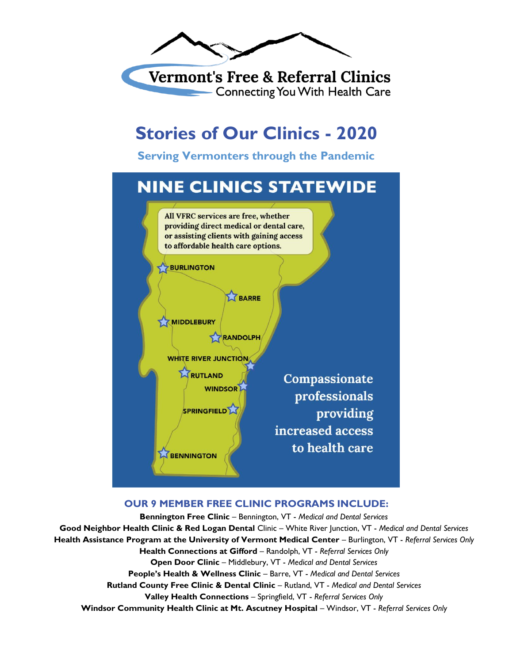

**Vermont's Free & Referral Clinics Connecting You With Health Care** 

# **Stories of Our Clinics - 2020**

**Serving Vermonters through the Pandemic**



#### **OUR 9 MEMBER FREE CLINIC PROGRAMS INCLUDE:**

**Bennington Free Clinic** – Bennington, VT - *Medical and Dental Services* **Good Neighbor Health Clinic & Red Logan Dental** Clinic – White River Junction, VT - *Medical and Dental Services* **Health Assistance Program at the University of Vermont Medical Center** – Burlington, VT - *Referral Services Only* **Health Connections at Gifford** – Randolph, VT - *Referral Services Only* **Open Door Clinic** – Middlebury, VT - *Medical and Dental Services* **People's Health & Wellness Clinic** – Barre, VT - *Medical and Dental Services* **Rutland County Free Clinic & Dental Clinic** – Rutland, VT - *Medical and Dental Services* **Valley Health Connections** – Springfield, VT - *Referral Services Only* **Windsor Community Health Clinic at Mt. Ascutney Hospital** – Windsor, VT - *Referral Services Only*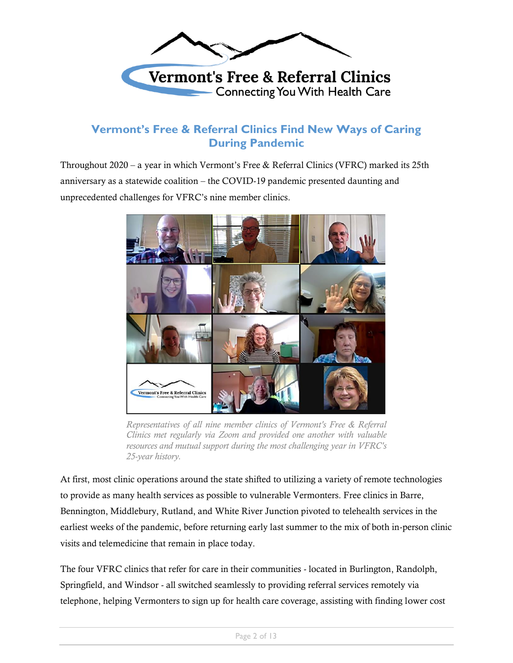

### **Vermont's Free & Referral Clinics Find New Ways of Caring During Pandemic**

Throughout 2020 – a year in which Vermont's Free & Referral Clinics (VFRC) marked its 25th anniversary as a statewide coalition – the COVID-19 pandemic presented daunting and unprecedented challenges for VFRC's nine member clinics.



*Representatives of all nine member clinics of Vermont's Free & Referral Clinics met regularly via Zoom and provided one another with valuable resources and mutual support during the most challenging year in VFRC's 25-year history.*

At first, most clinic operations around the state shifted to utilizing a variety of remote technologies to provide as many health services as possible to vulnerable Vermonters. Free clinics in Barre, Bennington, Middlebury, Rutland, and White River Junction pivoted to telehealth services in the earliest weeks of the pandemic, before returning early last summer to the mix of both in-person clinic visits and telemedicine that remain in place today.

The four VFRC clinics that refer for care in their communities - located in Burlington, Randolph, Springfield, and Windsor - all switched seamlessly to providing referral services remotely via telephone, helping Vermonters to sign up for health care coverage, assisting with finding lower cost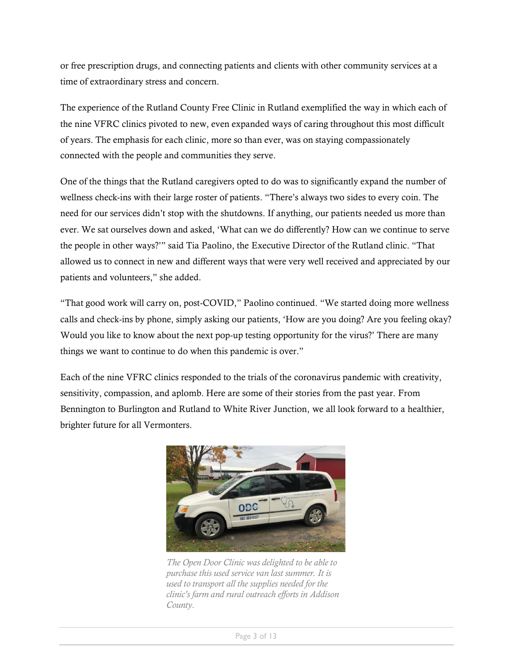or free prescription drugs, and connecting patients and clients with other community services at a time of extraordinary stress and concern.

The experience of the Rutland County Free Clinic in Rutland exemplified the way in which each of the nine VFRC clinics pivoted to new, even expanded ways of caring throughout this most difficult of years. The emphasis for each clinic, more so than ever, was on staying compassionately connected with the people and communities they serve.

One of the things that the Rutland caregivers opted to do was to significantly expand the number of wellness check-ins with their large roster of patients. "There's always two sides to every coin. The need for our services didn't stop with the shutdowns. If anything, our patients needed us more than ever. We sat ourselves down and asked, 'What can we do differently? How can we continue to serve the people in other ways?'" said Tia Paolino, the Executive Director of the Rutland clinic. "That allowed us to connect in new and different ways that were very well received and appreciated by our patients and volunteers," she added.

"That good work will carry on, post-COVID," Paolino continued. "We started doing more wellness calls and check-ins by phone, simply asking our patients, 'How are you doing? Are you feeling okay? Would you like to know about the next pop-up testing opportunity for the virus?' There are many things we want to continue to do when this pandemic is over."

Each of the nine VFRC clinics responded to the trials of the coronavirus pandemic with creativity, sensitivity, compassion, and aplomb. Here are some of their stories from the past year. From Bennington to Burlington and Rutland to White River Junction, we all look forward to a healthier, brighter future for all Vermonters.



*The Open Door Clinic was delighted to be able to purchase this used service van last summer. It is used to transport all the supplies needed for the clinic's farm and rural outreach efforts in Addison County.*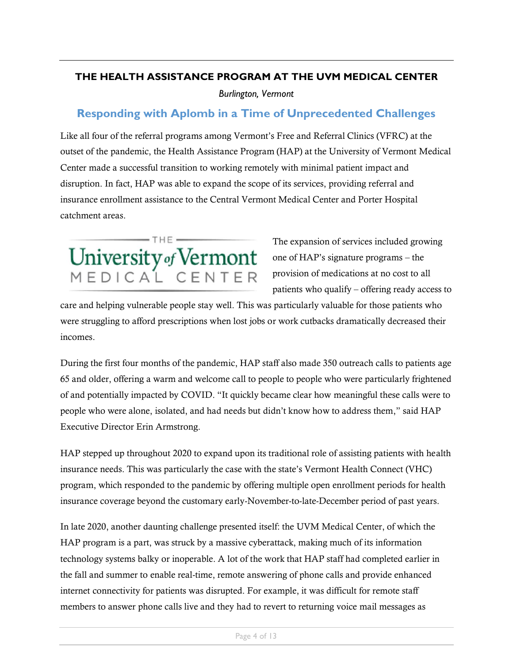#### **THE HEALTH ASSISTANCE PROGRAM AT THE UVM MEDICAL CENTER**

*Burlington, Vermont*

### **Responding with Aplomb in a Time of Unprecedented Challenges**

Like all four of the referral programs among Vermont's Free and Referral Clinics (VFRC) at the outset of the pandemic, the Health Assistance Program (HAP) at the University of Vermont Medical Center made a successful transition to working remotely with minimal patient impact and disruption. In fact, HAP was able to expand the scope of its services, providing referral and insurance enrollment assistance to the Central Vermont Medical Center and Porter Hospital catchment areas.



The expansion of services included growing one of HAP's signature programs – the provision of medications at no cost to all patients who qualify – offering ready access to

care and helping vulnerable people stay well. This was particularly valuable for those patients who were struggling to afford prescriptions when lost jobs or work cutbacks dramatically decreased their incomes.

During the first four months of the pandemic, HAP staff also made 350 outreach calls to patients age 65 and older, offering a warm and welcome call to people to people who were particularly frightened of and potentially impacted by COVID. "It quickly became clear how meaningful these calls were to people who were alone, isolated, and had needs but didn't know how to address them," said HAP Executive Director Erin Armstrong.

HAP stepped up throughout 2020 to expand upon its traditional role of assisting patients with health insurance needs. This was particularly the case with the state's Vermont Health Connect (VHC) program, which responded to the pandemic by offering multiple open enrollment periods for health insurance coverage beyond the customary early-November-to-late-December period of past years.

In late 2020, another daunting challenge presented itself: the UVM Medical Center, of which the HAP program is a part, was struck by a massive cyberattack, making much of its information technology systems balky or inoperable. A lot of the work that HAP staff had completed earlier in the fall and summer to enable real-time, remote answering of phone calls and provide enhanced internet connectivity for patients was disrupted. For example, it was difficult for remote staff members to answer phone calls live and they had to revert to returning voice mail messages as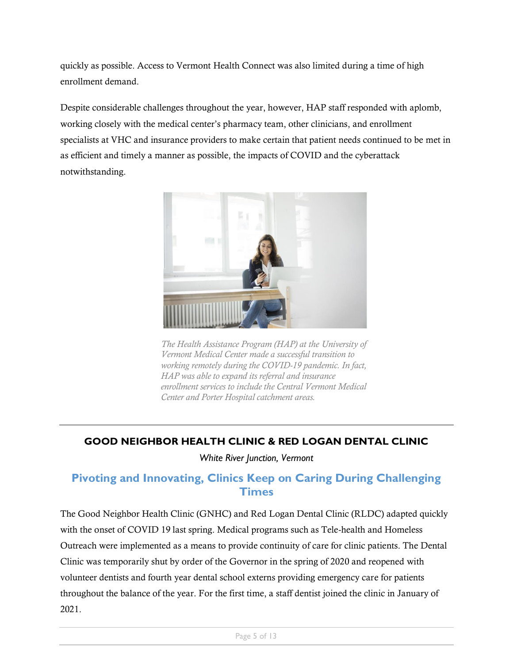quickly as possible. Access to Vermont Health Connect was also limited during a time of high enrollment demand.

Despite considerable challenges throughout the year, however, HAP staff responded with aplomb, working closely with the medical center's pharmacy team, other clinicians, and enrollment specialists at VHC and insurance providers to make certain that patient needs continued to be met in as efficient and timely a manner as possible, the impacts of COVID and the cyberattack notwithstanding.



*The Health Assistance Program (HAP) at the University of Vermont Medical Center made a successful transition to working remotely during the COVID-19 pandemic. In fact, HAP was able to expand its referral and insurance enrollment services to include the Central Vermont Medical Center and Porter Hospital catchment areas.*

#### **GOOD NEIGHBOR HEALTH CLINIC & RED LOGAN DENTAL CLINIC**

*White River Junction, Vermont*

# **Pivoting and Innovating, Clinics Keep on Caring During Challenging Times**

The Good Neighbor Health Clinic (GNHC) and Red Logan Dental Clinic (RLDC) adapted quickly with the onset of COVID 19 last spring. Medical programs such as Tele-health and Homeless Outreach were implemented as a means to provide continuity of care for clinic patients. The Dental Clinic was temporarily shut by order of the Governor in the spring of 2020 and reopened with volunteer dentists and fourth year dental school externs providing emergency care for patients throughout the balance of the year. For the first time, a staff dentist joined the clinic in January of 2021.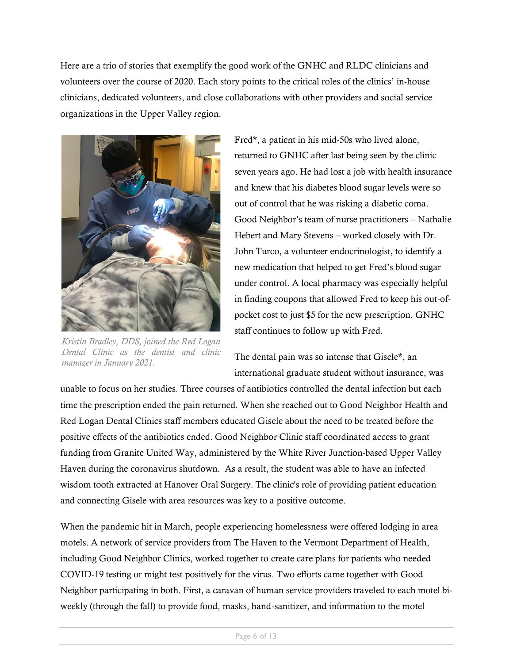Here are a trio of stories that exemplify the good work of the GNHC and RLDC clinicians and volunteers over the course of 2020. Each story points to the critical roles of the clinics' in-house clinicians, dedicated volunteers, and close collaborations with other providers and social service organizations in the Upper Valley region.



*Kristin Bradley, DDS, joined the Red Logan Dental Clinic as the dentist and clinic manager in January 2021.*

Fred\*, a patient in his mid-50s who lived alone, returned to GNHC after last being seen by the clinic seven years ago. He had lost a job with health insurance and knew that his diabetes blood sugar levels were so out of control that he was risking a diabetic coma. Good Neighbor's team of nurse practitioners – Nathalie Hebert and Mary Stevens – worked closely with Dr. John Turco, a volunteer endocrinologist, to identify a new medication that helped to get Fred's blood sugar under control. A local pharmacy was especially helpful in finding coupons that allowed Fred to keep his out-ofpocket cost to just \$5 for the new prescription. GNHC staff continues to follow up with Fred.

The dental pain was so intense that Gisele\*, an international graduate student without insurance, was

unable to focus on her studies. Three courses of antibiotics controlled the dental infection but each time the prescription ended the pain returned. When she reached out to Good Neighbor Health and Red Logan Dental Clinics staff members educated Gisele about the need to be treated before the positive effects of the antibiotics ended. Good Neighbor Clinic staff coordinated access to grant funding from Granite United Way, administered by the White River Junction-based Upper Valley Haven during the coronavirus shutdown. As a result, the student was able to have an infected wisdom tooth extracted at Hanover Oral Surgery. The clinic's role of providing patient education and connecting Gisele with area resources was key to a positive outcome.

When the pandemic hit in March, people experiencing homelessness were offered lodging in area motels. A network of service providers from The Haven to the Vermont Department of Health, including Good Neighbor Clinics, worked together to create care plans for patients who needed COVID-19 testing or might test positively for the virus. Two efforts came together with Good Neighbor participating in both. First, a caravan of human service providers traveled to each motel biweekly (through the fall) to provide food, masks, hand-sanitizer, and information to the motel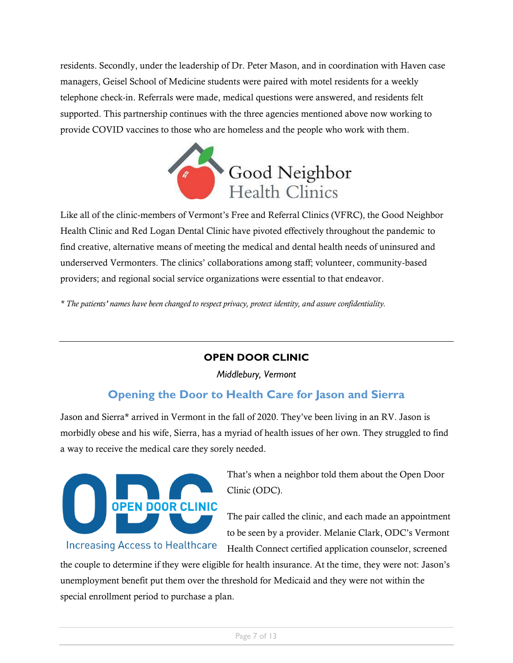residents. Secondly, under the leadership of Dr. Peter Mason, and in coordination with Haven case managers, Geisel School of Medicine students were paired with motel residents for a weekly telephone check-in. Referrals were made, medical questions were answered, and residents felt supported. This partnership continues with the three agencies mentioned above now working to provide COVID vaccines to those who are homeless and the people who work with them.



Like all of the clinic-members of Vermont's Free and Referral Clinics (VFRC), the Good Neighbor Health Clinic and Red Logan Dental Clinic have pivoted effectively throughout the pandemic to find creative, alternative means of meeting the medical and dental health needs of uninsured and underserved Vermonters. The clinics' collaborations among staff; volunteer, community-based providers; and regional social service organizations were essential to that endeavor.

*\* The patients' names have been changed to respect privacy, protect identity, and assure confidentiality.*

#### **OPEN DOOR CLINIC**

*Middlebury, Vermont*

# **Opening the Door to Health Care for Jason and Sierra**

Jason and Sierra\* arrived in Vermont in the fall of 2020. They've been living in an RV. Jason is morbidly obese and his wife, Sierra, has a myriad of health issues of her own. They struggled to find a way to receive the medical care they sorely needed.



That's when a neighbor told them about the Open Door Clinic (ODC).

The pair called the clinic, and each made an appointment to be seen by a provider. Melanie Clark, ODC's Vermont Health Connect certified application counselor, screened

the couple to determine if they were eligible for health insurance. At the time, they were not: Jason's unemployment benefit put them over the threshold for Medicaid and they were not within the special enrollment period to purchase a plan.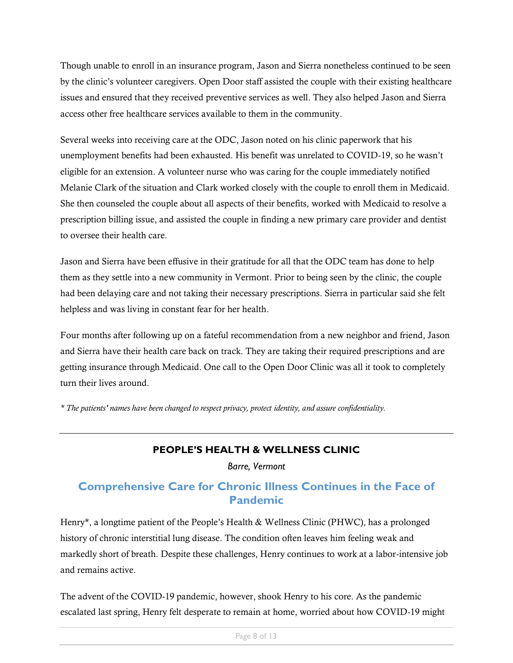Though unable to enroll in an insurance program, Jason and Sierra nonetheless continued to be seen by the clinic's volunteer caregivers. Open Door staff assisted the couple with their existing healthcare issues and ensured that they received preventive services as well. They also helped Jason and Sierra access other free healthcare services available to them in the community.

Several weeks into receiving care at the ODC, Jason noted on his clinic paperwork that his unemployment benefits had been exhausted. His benefit was unrelated to COVID-19, so he wasn't eligible for an extension. A volunteer nurse who was caring for the couple immediately notified Melanie Clark of the situation and Clark worked closely with the couple to enroll them in Medicaid. She then counseled the couple about all aspects of their benefits, worked with Medicaid to resolve a prescription billing issue, and assisted the couple in finding a new primary care provider and dentist to oversee their health care.

Jason and Sierra have been effusive in their gratitude for all that the ODC team has done to help them as they settle into a new community in Vermont. Prior to being seen by the clinic, the couple had been delaying care and not taking their necessary prescriptions. Sierra in particular said she felt helpless and was living in constant fear for her health.

Four months after following up on a fateful recommendation from a new neighbor and friend, Jason and Sierra have their health care back on track. They are taking their required prescriptions and are getting insurance through Medicaid. One call to the Open Door Clinic was all it took to completely turn their lives around.

*\* The patients' names have been changed to respect privacy, protect identity, and assure confidentiality.*

#### **PEOPLE'S HEALTH & WELLNESS CLINIC**

*Barre, Vermont*

# **Comprehensive Care for Chronic Illness Continues in the Face of Pandemic**

Henry\*, a longtime patient of the People's Health & Wellness Clinic (PHWC), has a prolonged history of chronic interstitial lung disease. The condition often leaves him feeling weak and markedly short of breath. Despite these challenges, Henry continues to work at a labor-intensive job and remains active.

The advent of the COVID-19 pandemic, however, shook Henry to his core. As the pandemic escalated last spring, Henry felt desperate to remain at home, worried about how COVID-19 might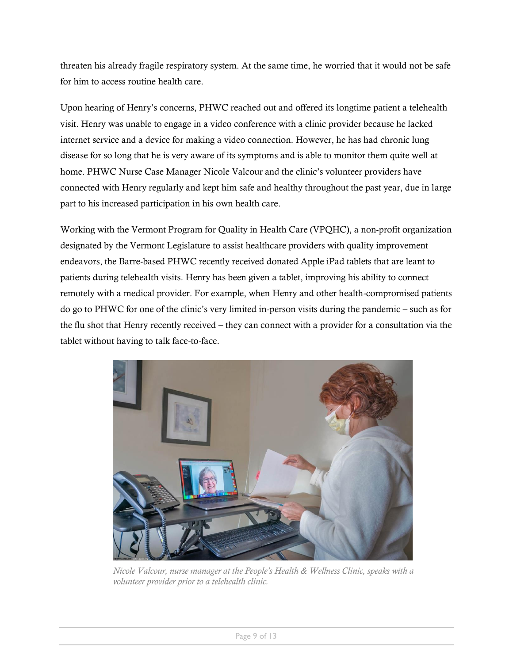threaten his already fragile respiratory system. At the same time, he worried that it would not be safe for him to access routine health care.

Upon hearing of Henry's concerns, PHWC reached out and offered its longtime patient a telehealth visit. Henry was unable to engage in a video conference with a clinic provider because he lacked internet service and a device for making a video connection. However, he has had chronic lung disease for so long that he is very aware of its symptoms and is able to monitor them quite well at home. PHWC Nurse Case Manager Nicole Valcour and the clinic's volunteer providers have connected with Henry regularly and kept him safe and healthy throughout the past year, due in large part to his increased participation in his own health care.

Working with the Vermont Program for Quality in Health Care (VPQHC), a non-profit organization designated by the Vermont Legislature to assist healthcare providers with quality improvement endeavors, the Barre-based PHWC recently received donated Apple iPad tablets that are leant to patients during telehealth visits. Henry has been given a tablet, improving his ability to connect remotely with a medical provider. For example, when Henry and other health-compromised patients do go to PHWC for one of the clinic's very limited in-person visits during the pandemic – such as for the flu shot that Henry recently received – they can connect with a provider for a consultation via the tablet without having to talk face-to-face.



*Nicole Valcour, nurse manager at the People's Health & Wellness Clinic, speaks with a volunteer provider prior to a telehealth clinic.*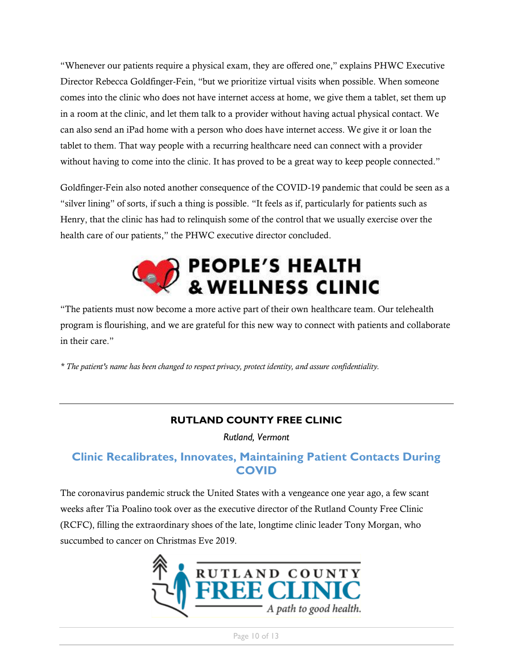"Whenever our patients require a physical exam, they are offered one," explains PHWC Executive Director Rebecca Goldfinger-Fein, "but we prioritize virtual visits when possible. When someone comes into the clinic who does not have internet access at home, we give them a tablet, set them up in a room at the clinic, and let them talk to a provider without having actual physical contact. We can also send an iPad home with a person who does have internet access. We give it or loan the tablet to them. That way people with a recurring healthcare need can connect with a provider without having to come into the clinic. It has proved to be a great way to keep people connected."

Goldfinger-Fein also noted another consequence of the COVID-19 pandemic that could be seen as a "silver lining" of sorts, if such a thing is possible. "It feels as if, particularly for patients such as Henry, that the clinic has had to relinquish some of the control that we usually exercise over the health care of our patients," the PHWC executive director concluded.



"The patients must now become a more active part of their own healthcare team. Our telehealth program is flourishing, and we are grateful for this new way to connect with patients and collaborate in their care."

*\* The patient's name has been changed to respect privacy, protect identity, and assure confidentiality.*

#### **RUTLAND COUNTY FREE CLINIC**

*Rutland, Vermont*

#### **Clinic Recalibrates, Innovates, Maintaining Patient Contacts During COVID**

The coronavirus pandemic struck the United States with a vengeance one year ago, a few scant weeks after Tia Poalino took over as the executive director of the Rutland County Free Clinic (RCFC), filling the extraordinary shoes of the late, longtime clinic leader Tony Morgan, who succumbed to cancer on Christmas Eve 2019.

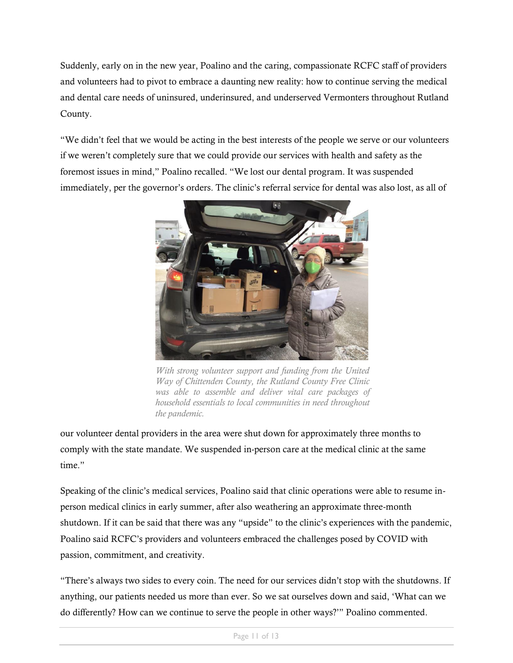Suddenly, early on in the new year, Poalino and the caring, compassionate RCFC staff of providers and volunteers had to pivot to embrace a daunting new reality: how to continue serving the medical and dental care needs of uninsured, underinsured, and underserved Vermonters throughout Rutland County.

"We didn't feel that we would be acting in the best interests of the people we serve or our volunteers if we weren't completely sure that we could provide our services with health and safety as the foremost issues in mind," Poalino recalled. "We lost our dental program. It was suspended immediately, per the governor's orders. The clinic's referral service for dental was also lost, as all of



*With strong volunteer support and funding from the United Way of Chittenden County, the Rutland County Free Clinic was able to assemble and deliver vital care packages of household essentials to local communities in need throughout the pandemic.*

our volunteer dental providers in the area were shut down for approximately three months to comply with the state mandate. We suspended in-person care at the medical clinic at the same time."

Speaking of the clinic's medical services, Poalino said that clinic operations were able to resume inperson medical clinics in early summer, after also weathering an approximate three-month shutdown. If it can be said that there was any "upside" to the clinic's experiences with the pandemic, Poalino said RCFC's providers and volunteers embraced the challenges posed by COVID with passion, commitment, and creativity.

"There's always two sides to every coin. The need for our services didn't stop with the shutdowns. If anything, our patients needed us more than ever. So we sat ourselves down and said, 'What can we do differently? How can we continue to serve the people in other ways?'" Poalino commented.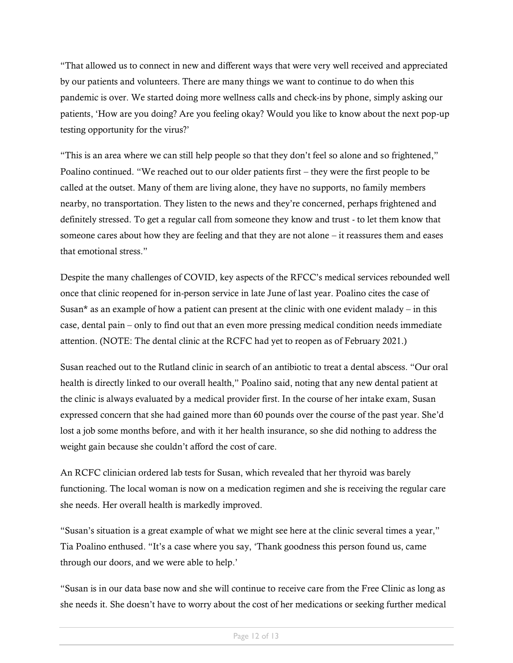"That allowed us to connect in new and different ways that were very well received and appreciated by our patients and volunteers. There are many things we want to continue to do when this pandemic is over. We started doing more wellness calls and check-ins by phone, simply asking our patients, 'How are you doing? Are you feeling okay? Would you like to know about the next pop-up testing opportunity for the virus?'

"This is an area where we can still help people so that they don't feel so alone and so frightened," Poalino continued. "We reached out to our older patients first – they were the first people to be called at the outset. Many of them are living alone, they have no supports, no family members nearby, no transportation. They listen to the news and they're concerned, perhaps frightened and definitely stressed. To get a regular call from someone they know and trust - to let them know that someone cares about how they are feeling and that they are not alone – it reassures them and eases that emotional stress."

Despite the many challenges of COVID, key aspects of the RFCC's medical services rebounded well once that clinic reopened for in-person service in late June of last year. Poalino cites the case of Susan<sup>\*</sup> as an example of how a patient can present at the clinic with one evident malady – in this case, dental pain – only to find out that an even more pressing medical condition needs immediate attention. (NOTE: The dental clinic at the RCFC had yet to reopen as of February 2021.)

Susan reached out to the Rutland clinic in search of an antibiotic to treat a dental abscess. "Our oral health is directly linked to our overall health," Poalino said, noting that any new dental patient at the clinic is always evaluated by a medical provider first. In the course of her intake exam, Susan expressed concern that she had gained more than 60 pounds over the course of the past year. She'd lost a job some months before, and with it her health insurance, so she did nothing to address the weight gain because she couldn't afford the cost of care.

An RCFC clinician ordered lab tests for Susan, which revealed that her thyroid was barely functioning. The local woman is now on a medication regimen and she is receiving the regular care she needs. Her overall health is markedly improved.

"Susan's situation is a great example of what we might see here at the clinic several times a year," Tia Poalino enthused. "It's a case where you say, 'Thank goodness this person found us, came through our doors, and we were able to help.'

"Susan is in our data base now and she will continue to receive care from the Free Clinic as long as she needs it. She doesn't have to worry about the cost of her medications or seeking further medical